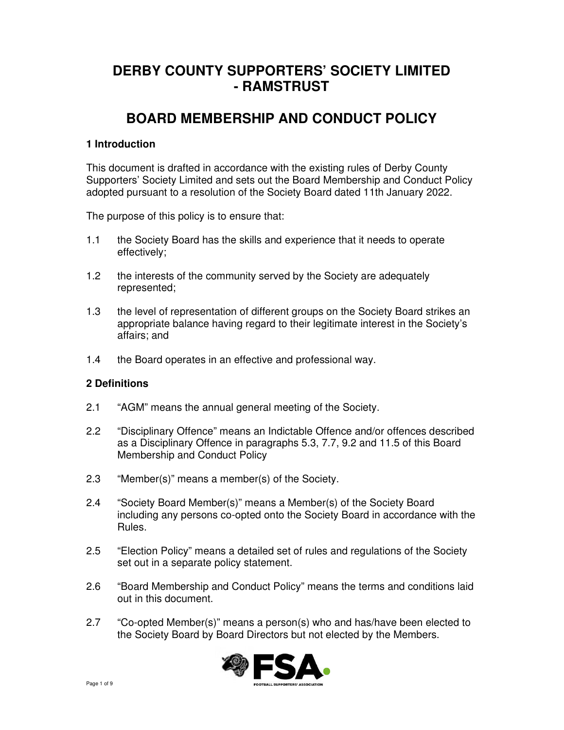# **DERBY COUNTY SUPPORTERS' SOCIETY LIMITED - RAMSTRUST**

## **BOARD MEMBERSHIP AND CONDUCT POLICY**

### **1 Introduction**

This document is drafted in accordance with the existing rules of Derby County Supporters' Society Limited and sets out the Board Membership and Conduct Policy adopted pursuant to a resolution of the Society Board dated 11th January 2022.

The purpose of this policy is to ensure that:

- 1.1 the Society Board has the skills and experience that it needs to operate effectively;
- 1.2 the interests of the community served by the Society are adequately represented;
- 1.3 the level of representation of different groups on the Society Board strikes an appropriate balance having regard to their legitimate interest in the Society's affairs; and
- 1.4 the Board operates in an effective and professional way.

#### **2 Definitions**

- 2.1 "AGM" means the annual general meeting of the Society.
- 2.2 "Disciplinary Offence" means an Indictable Offence and/or offences described as a Disciplinary Offence in paragraphs 5.3, 7.7, 9.2 and 11.5 of this Board Membership and Conduct Policy
- 2.3 "Member(s)" means a member(s) of the Society.
- 2.4 "Society Board Member(s)" means a Member(s) of the Society Board including any persons co-opted onto the Society Board in accordance with the Rules.
- 2.5 "Election Policy" means a detailed set of rules and regulations of the Society set out in a separate policy statement.
- 2.6 "Board Membership and Conduct Policy" means the terms and conditions laid out in this document.
- 2.7 "Co-opted Member(s)" means a person(s) who and has/have been elected to the Society Board by Board Directors but not elected by the Members.

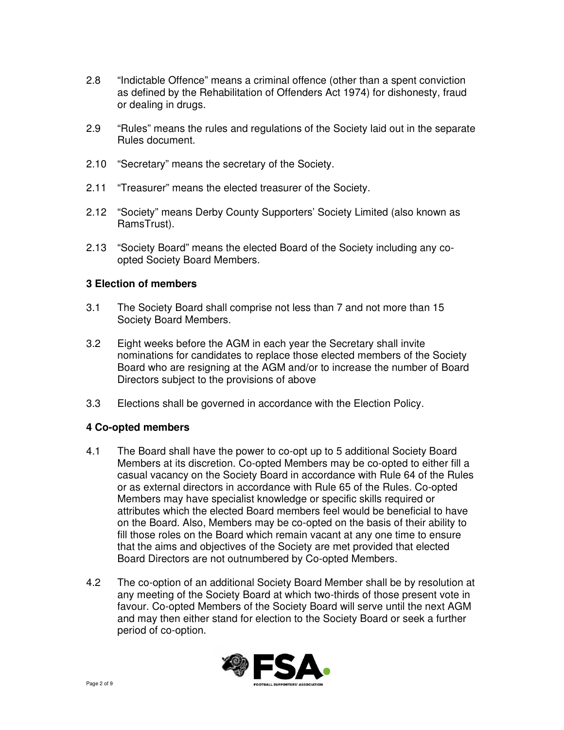- 2.8 "Indictable Offence" means a criminal offence (other than a spent conviction as defined by the Rehabilitation of Offenders Act 1974) for dishonesty, fraud or dealing in drugs.
- 2.9 "Rules" means the rules and regulations of the Society laid out in the separate Rules document.
- 2.10 "Secretary" means the secretary of the Society.
- 2.11 "Treasurer" means the elected treasurer of the Society.
- 2.12 "Society" means Derby County Supporters' Society Limited (also known as RamsTrust).
- 2.13 "Society Board" means the elected Board of the Society including any co opted Society Board Members.

#### **3 Election of members**

- 3.1 The Society Board shall comprise not less than 7 and not more than 15 Society Board Members.
- 3.2 Eight weeks before the AGM in each year the Secretary shall invite nominations for candidates to replace those elected members of the Society Board who are resigning at the AGM and/or to increase the number of Board Directors subject to the provisions of above
- 3.3 Elections shall be governed in accordance with the Election Policy.

#### **4 Co-opted members**

- 4.1 The Board shall have the power to co-opt up to 5 additional Society Board Members at its discretion. Co-opted Members may be co-opted to either fill a casual vacancy on the Society Board in accordance with Rule 64 of the Rules or as external directors in accordance with Rule 65 of the Rules. Co-opted Members may have specialist knowledge or specific skills required or attributes which the elected Board members feel would be beneficial to have on the Board. Also, Members may be co-opted on the basis of their ability to fill those roles on the Board which remain vacant at any one time to ensure that the aims and objectives of the Society are met provided that elected Board Directors are not outnumbered by Co-opted Members.
- 4.2 The co-option of an additional Society Board Member shall be by resolution at any meeting of the Society Board at which two-thirds of those present vote in favour. Co-opted Members of the Society Board will serve until the next AGM and may then either stand for election to the Society Board or seek a further period of co-option.

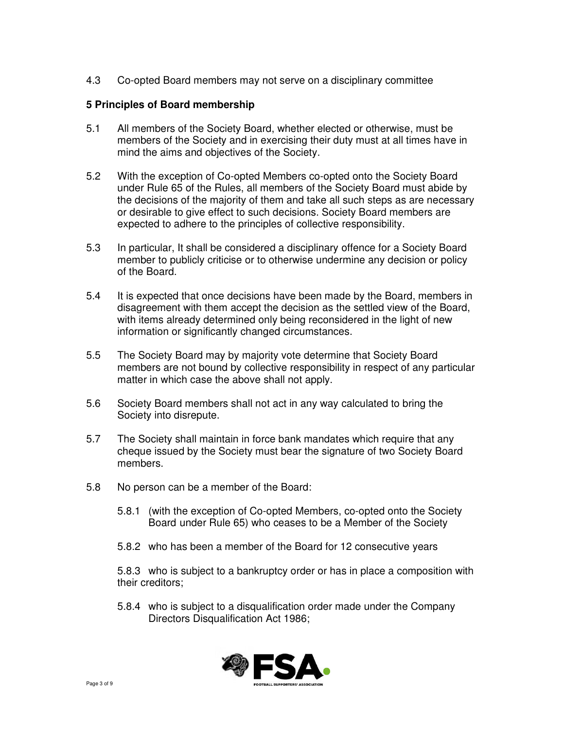4.3 Co-opted Board members may not serve on a disciplinary committee

### **5 Principles of Board membership**

- 5.1 All members of the Society Board, whether elected or otherwise, must be members of the Society and in exercising their duty must at all times have in mind the aims and objectives of the Society.
- 5.2 With the exception of Co-opted Members co-opted onto the Society Board under Rule 65 of the Rules, all members of the Society Board must abide by the decisions of the majority of them and take all such steps as are necessary or desirable to give effect to such decisions. Society Board members are expected to adhere to the principles of collective responsibility.
- 5.3 In particular, It shall be considered a disciplinary offence for a Society Board member to publicly criticise or to otherwise undermine any decision or policy of the Board.
- 5.4 It is expected that once decisions have been made by the Board, members in disagreement with them accept the decision as the settled view of the Board, with items already determined only being reconsidered in the light of new information or significantly changed circumstances.
- 5.5 The Society Board may by majority vote determine that Society Board members are not bound by collective responsibility in respect of any particular matter in which case the above shall not apply.
- 5.6 Society Board members shall not act in any way calculated to bring the Society into disrepute.
- 5.7 The Society shall maintain in force bank mandates which require that any cheque issued by the Society must bear the signature of two Society Board members.
- 5.8 No person can be a member of the Board:
	- 5.8.1 (with the exception of Co-opted Members, co-opted onto the Society Board under Rule 65) who ceases to be a Member of the Society
	- 5.8.2 who has been a member of the Board for 12 consecutive years

 5.8.3 who is subject to a bankruptcy order or has in place a composition with their creditors;

 5.8.4 who is subject to a disqualification order made under the Company Directors Disqualification Act 1986;

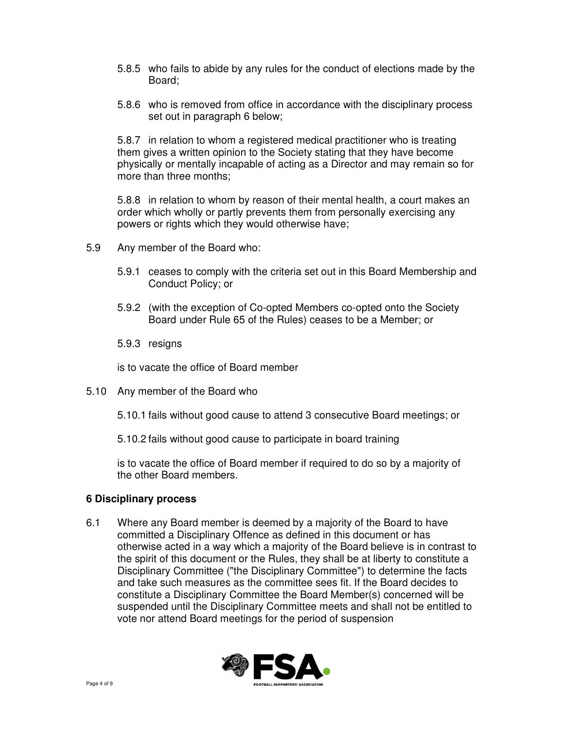- 5.8.5 who fails to abide by any rules for the conduct of elections made by the Board;
- 5.8.6 who is removed from office in accordance with the disciplinary process set out in paragraph 6 below;

 5.8.7 in relation to whom a registered medical practitioner who is treating them gives a written opinion to the Society stating that they have become physically or mentally incapable of acting as a Director and may remain so for more than three months;

 5.8.8 in relation to whom by reason of their mental health, a court makes an order which wholly or partly prevents them from personally exercising any powers or rights which they would otherwise have;

- 5.9 Any member of the Board who:
	- 5.9.1 ceases to comply with the criteria set out in this Board Membership and Conduct Policy; or
	- 5.9.2 (with the exception of Co-opted Members co-opted onto the Society Board under Rule 65 of the Rules) ceases to be a Member; or
	- 5.9.3 resigns

is to vacate the office of Board member

- 5.10 Any member of the Board who
	- 5.10.1 fails without good cause to attend 3 consecutive Board meetings; or
	- 5.10.2 fails without good cause to participate in board training

 is to vacate the office of Board member if required to do so by a majority of the other Board members.

#### **6 Disciplinary process**

6.1 Where any Board member is deemed by a majority of the Board to have committed a Disciplinary Offence as defined in this document or has otherwise acted in a way which a majority of the Board believe is in contrast to the spirit of this document or the Rules, they shall be at liberty to constitute a Disciplinary Committee ("the Disciplinary Committee") to determine the facts and take such measures as the committee sees fit. If the Board decides to constitute a Disciplinary Committee the Board Member(s) concerned will be suspended until the Disciplinary Committee meets and shall not be entitled to vote nor attend Board meetings for the period of suspension

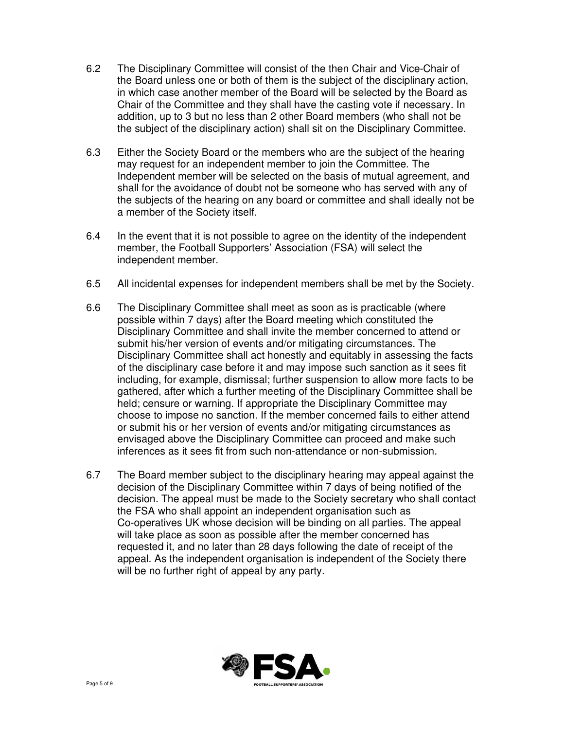- 6.2 The Disciplinary Committee will consist of the then Chair and Vice-Chair of the Board unless one or both of them is the subject of the disciplinary action, in which case another member of the Board will be selected by the Board as Chair of the Committee and they shall have the casting vote if necessary. In addition, up to 3 but no less than 2 other Board members (who shall not be the subject of the disciplinary action) shall sit on the Disciplinary Committee.
- 6.3 Either the Society Board or the members who are the subject of the hearing may request for an independent member to join the Committee. The Independent member will be selected on the basis of mutual agreement, and shall for the avoidance of doubt not be someone who has served with any of the subjects of the hearing on any board or committee and shall ideally not be a member of the Society itself.
- 6.4 In the event that it is not possible to agree on the identity of the independent member, the Football Supporters' Association (FSA) will select the independent member.
- 6.5 All incidental expenses for independent members shall be met by the Society.
- 6.6 The Disciplinary Committee shall meet as soon as is practicable (where possible within 7 days) after the Board meeting which constituted the Disciplinary Committee and shall invite the member concerned to attend or submit his/her version of events and/or mitigating circumstances. The Disciplinary Committee shall act honestly and equitably in assessing the facts of the disciplinary case before it and may impose such sanction as it sees fit including, for example, dismissal; further suspension to allow more facts to be gathered, after which a further meeting of the Disciplinary Committee shall be held; censure or warning. If appropriate the Disciplinary Committee may choose to impose no sanction. If the member concerned fails to either attend or submit his or her version of events and/or mitigating circumstances as envisaged above the Disciplinary Committee can proceed and make such inferences as it sees fit from such non-attendance or non-submission.
- 6.7 The Board member subject to the disciplinary hearing may appeal against the decision of the Disciplinary Committee within 7 days of being notified of the decision. The appeal must be made to the Society secretary who shall contact the FSA who shall appoint an independent organisation such as Co-operatives UK whose decision will be binding on all parties. The appeal will take place as soon as possible after the member concerned has requested it, and no later than 28 days following the date of receipt of the appeal. As the independent organisation is independent of the Society there will be no further right of appeal by any party.

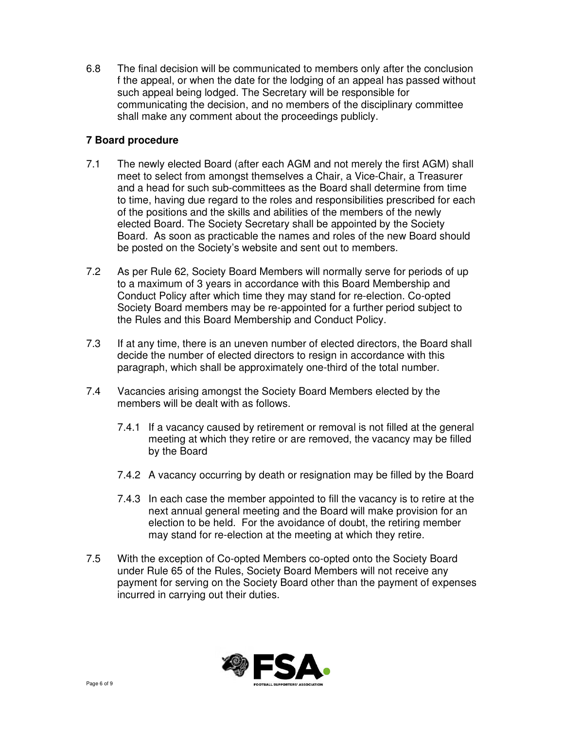6.8 The final decision will be communicated to members only after the conclusion f the appeal, or when the date for the lodging of an appeal has passed without such appeal being lodged. The Secretary will be responsible for communicating the decision, and no members of the disciplinary committee shall make any comment about the proceedings publicly.

## **7 Board procedure**

- 7.1 The newly elected Board (after each AGM and not merely the first AGM) shall meet to select from amongst themselves a Chair, a Vice-Chair, a Treasurer and a head for such sub-committees as the Board shall determine from time to time, having due regard to the roles and responsibilities prescribed for each of the positions and the skills and abilities of the members of the newly elected Board. The Society Secretary shall be appointed by the Society Board. As soon as practicable the names and roles of the new Board should be posted on the Society's website and sent out to members.
- 7.2 As per Rule 62, Society Board Members will normally serve for periods of up to a maximum of 3 years in accordance with this Board Membership and Conduct Policy after which time they may stand for re-election. Co-opted Society Board members may be re-appointed for a further period subject to the Rules and this Board Membership and Conduct Policy.
- 7.3 If at any time, there is an uneven number of elected directors, the Board shall decide the number of elected directors to resign in accordance with this paragraph, which shall be approximately one-third of the total number.
- 7.4 Vacancies arising amongst the Society Board Members elected by the members will be dealt with as follows.
	- 7.4.1 If a vacancy caused by retirement or removal is not filled at the general meeting at which they retire or are removed, the vacancy may be filled by the Board
	- 7.4.2 A vacancy occurring by death or resignation may be filled by the Board
	- 7.4.3 In each case the member appointed to fill the vacancy is to retire at the next annual general meeting and the Board will make provision for an election to be held. For the avoidance of doubt, the retiring member may stand for re-election at the meeting at which they retire.
- 7.5 With the exception of Co-opted Members co-opted onto the Society Board under Rule 65 of the Rules, Society Board Members will not receive any payment for serving on the Society Board other than the payment of expenses incurred in carrying out their duties.

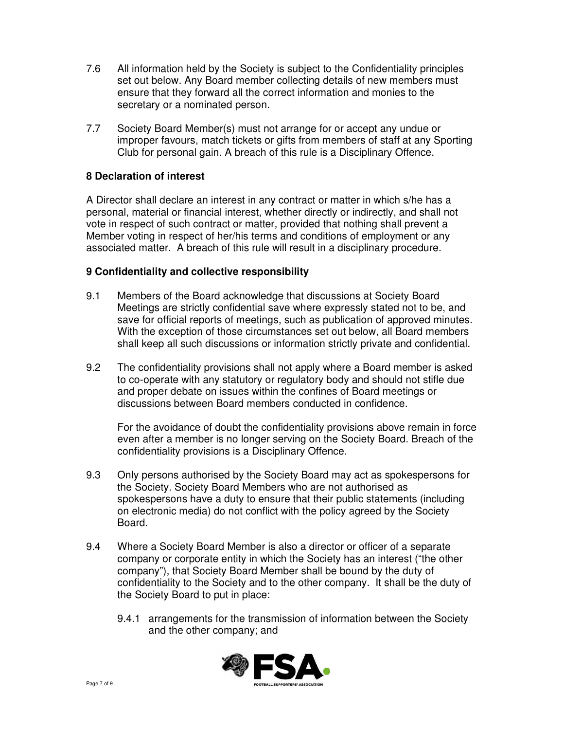- 7.6 All information held by the Society is subject to the Confidentiality principles set out below. Any Board member collecting details of new members must ensure that they forward all the correct information and monies to the secretary or a nominated person.
- 7.7 Society Board Member(s) must not arrange for or accept any undue or improper favours, match tickets or gifts from members of staff at any Sporting Club for personal gain. A breach of this rule is a Disciplinary Offence.

#### **8 Declaration of interest**

A Director shall declare an interest in any contract or matter in which s/he has a personal, material or financial interest, whether directly or indirectly, and shall not vote in respect of such contract or matter, provided that nothing shall prevent a Member voting in respect of her/his terms and conditions of employment or any associated matter. A breach of this rule will result in a disciplinary procedure.

#### **9 Confidentiality and collective responsibility**

- 9.1 Members of the Board acknowledge that discussions at Society Board Meetings are strictly confidential save where expressly stated not to be, and save for official reports of meetings, such as publication of approved minutes. With the exception of those circumstances set out below, all Board members shall keep all such discussions or information strictly private and confidential.
- 9.2 The confidentiality provisions shall not apply where a Board member is asked to co-operate with any statutory or regulatory body and should not stifle due and proper debate on issues within the confines of Board meetings or discussions between Board members conducted in confidence.

 For the avoidance of doubt the confidentiality provisions above remain in force even after a member is no longer serving on the Society Board. Breach of the confidentiality provisions is a Disciplinary Offence.

- 9.3 Only persons authorised by the Society Board may act as spokespersons for the Society. Society Board Members who are not authorised as spokespersons have a duty to ensure that their public statements (including on electronic media) do not conflict with the policy agreed by the Society Board.
- 9.4 Where a Society Board Member is also a director or officer of a separate company or corporate entity in which the Society has an interest ("the other company"), that Society Board Member shall be bound by the duty of confidentiality to the Society and to the other company. It shall be the duty of the Society Board to put in place:
	- 9.4.1 arrangements for the transmission of information between the Society and the other company; and

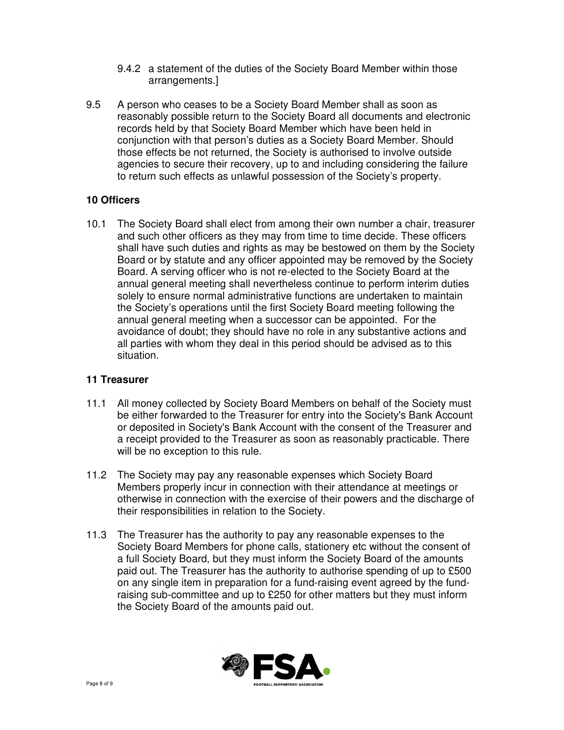- 9.4.2 a statement of the duties of the Society Board Member within those arrangements.]
- 9.5 A person who ceases to be a Society Board Member shall as soon as reasonably possible return to the Society Board all documents and electronic records held by that Society Board Member which have been held in conjunction with that person's duties as a Society Board Member. Should those effects be not returned, the Society is authorised to involve outside agencies to secure their recovery, up to and including considering the failure to return such effects as unlawful possession of the Society's property.

## **10 Officers**

10.1 The Society Board shall elect from among their own number a chair, treasurer and such other officers as they may from time to time decide. These officers shall have such duties and rights as may be bestowed on them by the Society Board or by statute and any officer appointed may be removed by the Society Board. A serving officer who is not re-elected to the Society Board at the annual general meeting shall nevertheless continue to perform interim duties solely to ensure normal administrative functions are undertaken to maintain the Society's operations until the first Society Board meeting following the annual general meeting when a successor can be appointed. For the avoidance of doubt; they should have no role in any substantive actions and all parties with whom they deal in this period should be advised as to this situation.

#### **11 Treasurer**

- 11.1 All money collected by Society Board Members on behalf of the Society must be either forwarded to the Treasurer for entry into the Society's Bank Account or deposited in Society's Bank Account with the consent of the Treasurer and a receipt provided to the Treasurer as soon as reasonably practicable. There will be no exception to this rule.
- 11.2 The Society may pay any reasonable expenses which Society Board Members properly incur in connection with their attendance at meetings or otherwise in connection with the exercise of their powers and the discharge of their responsibilities in relation to the Society.
- 11.3 The Treasurer has the authority to pay any reasonable expenses to the Society Board Members for phone calls, stationery etc without the consent of a full Society Board, but they must inform the Society Board of the amounts paid out. The Treasurer has the authority to authorise spending of up to £500 on any single item in preparation for a fund-raising event agreed by the fund raising sub-committee and up to £250 for other matters but they must inform the Society Board of the amounts paid out.